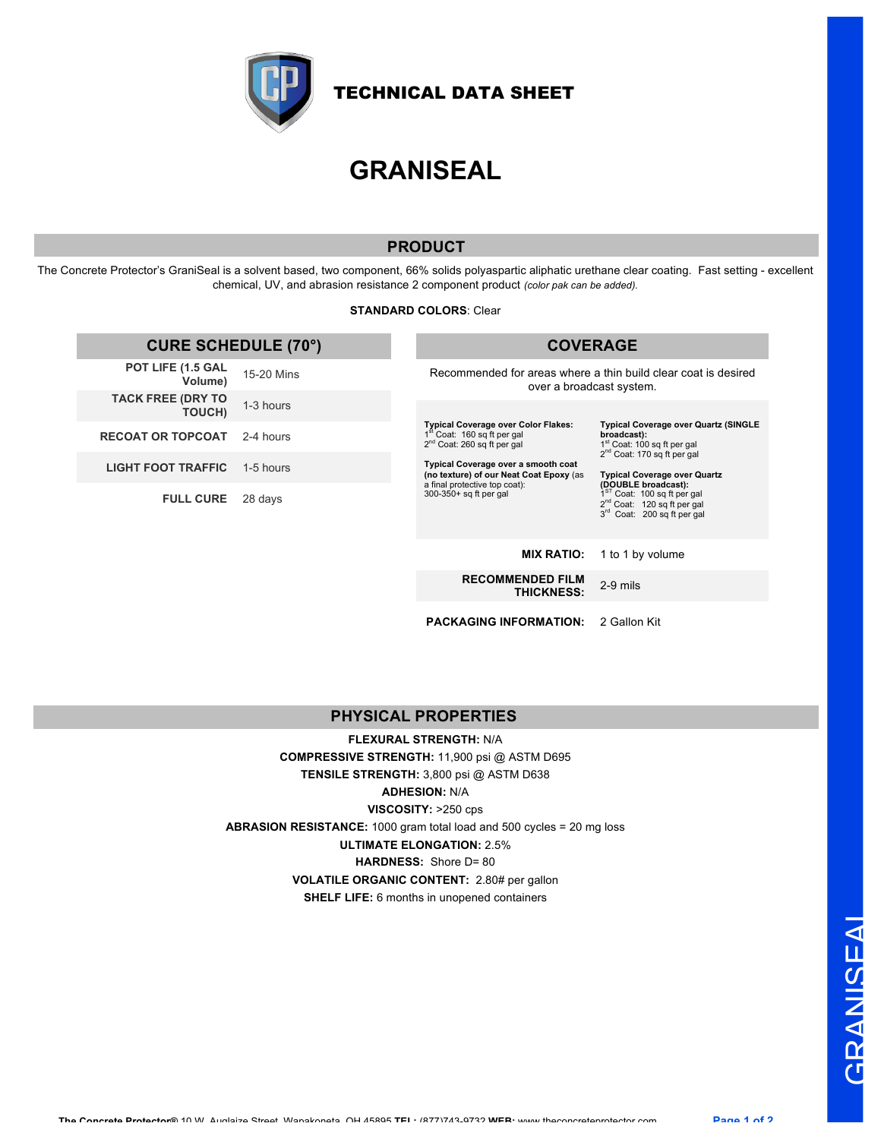

TECHNICAL DATA SHEET

# **GRANISEAL**

# **PRODUCT**

The Concrete Protector's GraniSeal is a solvent based, two component, 66% solids polyaspartic aliphatic urethane clear coating. Fast setting - excellent chemical, UV, and abrasion resistance 2 component product *(color pak can be added).*

#### **STANDARD COLORS**: Clear

| <b>CURE SCHEDULE (70°)</b>                |            | <b>COVERAGE</b>                                                                                                                                                                                                                                                                                                                                                                                                                                                                                                                                                                                                                                                                                      |                  |
|-------------------------------------------|------------|------------------------------------------------------------------------------------------------------------------------------------------------------------------------------------------------------------------------------------------------------------------------------------------------------------------------------------------------------------------------------------------------------------------------------------------------------------------------------------------------------------------------------------------------------------------------------------------------------------------------------------------------------------------------------------------------------|------------------|
| POT LIFE (1.5 GAL<br>Volume)              | 15-20 Mins | Recommended for areas where a thin build clear coat is desired<br>over a broadcast system.<br><b>Typical Coverage over Color Flakes:</b><br><b>Typical Coverage over Quartz (SINGLE</b><br>1 <sup>st</sup> Coat: 160 sq ft per gal<br>broadcast):<br>1 <sup>st</sup> Coat: 100 sq ft per gal<br>$2^{nd}$ Coat: 260 sq ft per gal<br>2 <sup>nd</sup> Coat: 170 sq ft per gal<br>Typical Coverage over a smooth coat<br>(no texture) of our Neat Coat Epoxy (as<br><b>Typical Coverage over Quartz</b><br>a final protective top coat):<br>(DOUBLE broadcast):<br>1 <sup>ST</sup> Coat: 100 sq ft per gal<br>300-350+ sq ft per gal<br>$2^{nd}$ Coat: 120 sq ft per gal<br>3rd Coat: 200 sq ft per gal |                  |
| <b>TACK FREE (DRY TO</b><br><b>TOUCH)</b> | 1-3 hours  |                                                                                                                                                                                                                                                                                                                                                                                                                                                                                                                                                                                                                                                                                                      |                  |
| <b>RECOAT OR TOPCOAT</b>                  | 2-4 hours  |                                                                                                                                                                                                                                                                                                                                                                                                                                                                                                                                                                                                                                                                                                      |                  |
| <b>LIGHT FOOT TRAFFIC</b>                 | 1-5 hours  |                                                                                                                                                                                                                                                                                                                                                                                                                                                                                                                                                                                                                                                                                                      |                  |
| <b>FULL CURE</b>                          | 28 days    |                                                                                                                                                                                                                                                                                                                                                                                                                                                                                                                                                                                                                                                                                                      |                  |
|                                           |            | <b>MIX RATIO:</b>                                                                                                                                                                                                                                                                                                                                                                                                                                                                                                                                                                                                                                                                                    | 1 to 1 by volume |
|                                           |            | <b>RECOMMENDED FILM</b><br><b>THICKNESS:</b>                                                                                                                                                                                                                                                                                                                                                                                                                                                                                                                                                                                                                                                         | 2-9 mils         |

**PACKAGING INFORMATION:** 2 Gallon Kit

# **PHYSICAL PROPERTIES**

**FLEXURAL STRENGTH:** N/A **COMPRESSIVE STRENGTH:** 11,900 psi @ ASTM D695 **TENSILE STRENGTH:** 3,800 psi @ ASTM D638 **ADHESION:** N/A **VISCOSITY:** >250 cps **ABRASION RESISTANCE:** 1000 gram total load and 500 cycles = 20 mg loss **ULTIMATE ELONGATION:** 2.5% **HARDNESS:** Shore D= 80 **VOLATILE ORGANIC CONTENT:** 2.80# per gallon **SHELF LIFE:** 6 months in unopened containers